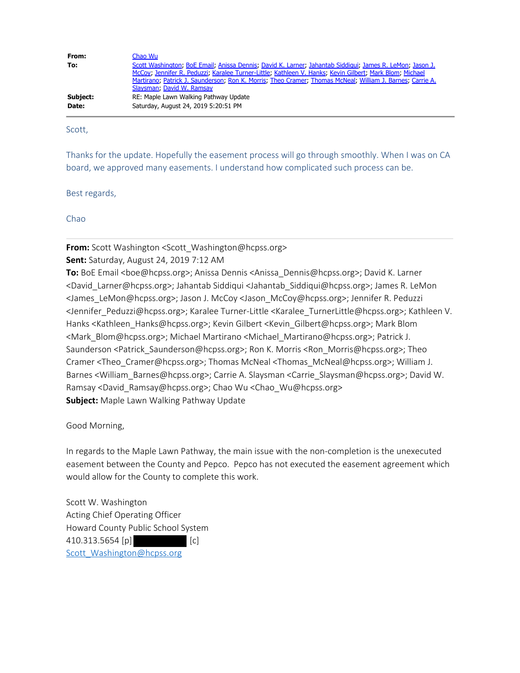| From:    | Chao Wu                                                                                                                                                                                                                                                                                                                                                       |
|----------|---------------------------------------------------------------------------------------------------------------------------------------------------------------------------------------------------------------------------------------------------------------------------------------------------------------------------------------------------------------|
| To:      | Scott Washington, BoE Email, Anissa Dennis, David K. Larner, Jahantab Siddiqui, James R. LeMon, Jason J.<br>McCoy; Jennifer R. Peduzzi; Karalee Turner-Little; Kathleen V. Hanks; Kevin Gilbert; Mark Blom; Michael<br>Martirano, Patrick J. Saunderson, Ron K. Morris, Theo Cramer, Thomas McNeal, William J. Barnes, Carrie A.<br>Slaysman: David W. Ramsay |
| Subject: | RE: Maple Lawn Walking Pathway Update                                                                                                                                                                                                                                                                                                                         |
| Date:    | Saturday, August 24, 2019 5:20:51 PM                                                                                                                                                                                                                                                                                                                          |

Scott,

Thanks for the update. Hopefully the easement process will go through smoothly. When I was on CA board, we approved many easements. I understand how complicated such process can be.

Best regards,

Chao

**From:** Scott Washington <Scott\_Washington@hcpss.org>

**Sent:** Saturday, August 24, 2019 7:12 AM

**To:** BoE Email <boe@hcpss.org>; Anissa Dennis <Anissa Dennis@hcpss.org>; David K. Larner <David\_Larner@hcpss.org>; Jahantab Siddiqui <Jahantab\_Siddiqui@hcpss.org>; James R. LeMon <James\_LeMon@hcpss.org>; Jason J. McCoy <Jason\_McCoy@hcpss.org>; Jennifer R. Peduzzi <Jennifer\_Peduzzi@hcpss.org>; Karalee Turner-Little <Karalee\_TurnerLittle@hcpss.org>; Kathleen V. Hanks <Kathleen\_Hanks@hcpss.org>; Kevin Gilbert <Kevin Gilbert@hcpss.org>; Mark Blom <Mark\_Blom@hcpss.org>; Michael Martirano <Michael\_Martirano@hcpss.org>; Patrick J. Saunderson <Patrick\_Saunderson@hcpss.org>; Ron K. Morris <Ron\_Morris@hcpss.org>; Theo Cramer <Theo\_Cramer@hcpss.org>; Thomas McNeal <Thomas\_McNeal@hcpss.org>; William J. Barnes <William\_Barnes@hcpss.org>; Carrie A. Slaysman <Carrie\_Slaysman@hcpss.org>; David W. Ramsay <David\_Ramsay@hcpss.org>; Chao Wu <Chao\_Wu@hcpss.org> **Subject:** Maple Lawn Walking Pathway Update

Good Morning,

In regards to the Maple Lawn Pathway, the main issue with the non-completion is the unexecuted easement between the County and Pepco. Pepco has not executed the easement agreement which would allow for the County to complete this work.

Scott W. Washington Acting Chief Operating Officer Howard County Public School System 410.313.5654 [p] [c] [Scott\\_Washington@hcpss.org](mailto:Scott_Washington@hcpss.org)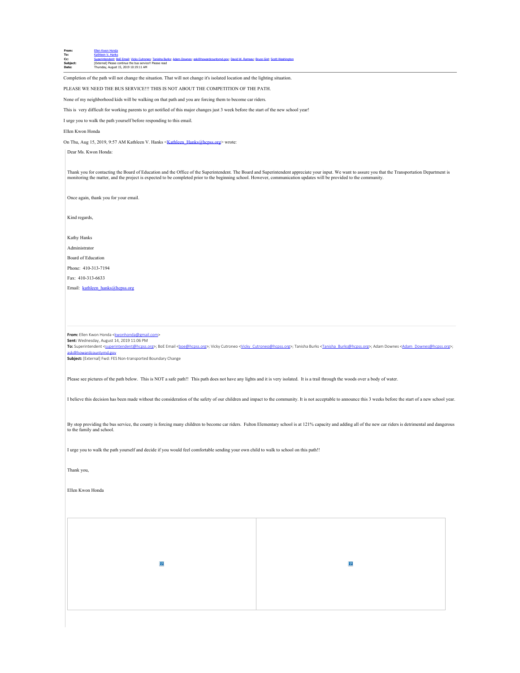| From:    | Ellen Kwon Honda                                                                                                                             |
|----------|----------------------------------------------------------------------------------------------------------------------------------------------|
| To:      | Kathleen V. Hanks                                                                                                                            |
| Cc:      | Superintendent; BoE Email; Vicky Cutroneo; Tanisha Burks; Adam Downes; ask@howardcountymd.gov; David W. Ramsay; Bruce Gist; Scott Washington |
| Subiect: | [External] Please continue the bus service!! Please read                                                                                     |
| Date:    | Thursday, August 15, 2019 10:19:11 AM                                                                                                        |
|          |                                                                                                                                              |

Completion of the path will not change the situation. That will not change it's isolated location and the lighting situation.

PLEASE WE NEED THE BUS SERVICE!!! THIS IS NOT ABOUT THE COMPETITION OF THE PATH.

None of my neighborhood kids will be walking on that path and you are forcing them to become car riders.

This is very difficult for working parents to get notified of this major changes just 3 week before the start of the new school year!

I urge you to walk the path yourself before responding to this email.

#### Ellen Kwon Honda

On Thu, Aug 15, 2019, 9:57 AM Kathleen V. Hanks <[Kathleen\\_Hanks@hcpss.org](mailto:Kathleen_Hanks@hcpss.org)> wrote:

Dear Ms. Kwon Honda:

Thank you for contacting the Board of Education and the Office of the Superintendent. The Board and Superintendent appreciate your input. We want to assure you that the Transportation Department is<br>monitoring the matter, a

Once again, thank you for your email.

Kind regards,

Kathy Hanks

Administrator

Board of Education

Phone: 410-313-7194

Fax: 410-313-6633

Email: [kathleen\\_hanks@hcpss.org](mailto:kathleen_hanks@hcpss.org)

From: Ellen Kwon Honda [<kwonhonda@gmail.com](mailto:kwonhonda@gmail.com)> **Sent:** Wednesday, August 14, 2019 11:06 PM

**To:** Superintendent <[superintendent@hcpss.org>](mailto:superintendent@hcpss.org); BoE Email [<boe@hcpss.org](mailto:boe@hcpss.org)>; Vicky Cutroneo <[Vicky\\_Cutroneo@hcpss.org>](mailto:Vicky_Cutroneo@hcpss.org); Tanisha Burks [<Tanisha\\_Burks@hcpss.org](mailto:Tanisha_Burks@hcpss.org)>; Adam Downes [<Adam\\_Downes@hcpss.org](mailto:Adam_Downes@hcpss.org)>; [ask@howardcountymd.gov](mailto:ask@howardcountymd.gov)

**Subject:** [External] Fwd: FES Non-transported Boundary Change

Please see pictures of the path below. This is NOT a safe path!! This path does not have any lights and it is very isolated. It is a trail through the woods over a body of water.

I believe this decision has been made without the consideration of the safety of our children and impact to the community. It is not acceptable to announce this 3 weeks before the start of a new school year.

By stop providing the bus service, the county is forcing many children to become car riders. Fulton Elementary school is at 121% capacity and adding all of the new car riders is detrimental and dangerous<br>to the family and

I urge you to walk the path yourself and decide if you would feel comfortable sending your own child to walk to school on this path!!

Thank you,

Ellen Kwon Honda

 $\vert$  ?  $\overline{?}$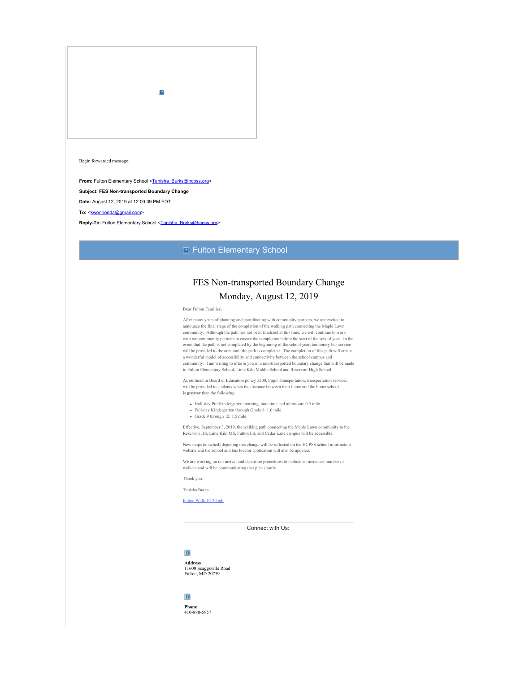$\boxed{2}$ 

Begin forwarded message:

**From:** Fulton Elementary School [<Tanisha\\_Burks@hcpss.org](mailto:Tanisha_Burks@hcpss.org)>

**Subject: FES Non-transported Boundary Change**

**Date:** August 12, 2019 at 12:00:39 PM EDT

To: [<kwonhonda@gmail.com](mailto:kwonhonda@gmail.com)>

Reply-To: Fulton Elementary School [<Tanisha\\_Burks@hcpss.org](mailto:Tanisha_Burks@hcpss.org)>

### **E** Fulton Elementary School

## FES Non-transported Boundary Change Monday, August 12, 2019

Dear Fulton Families,

After many years of planning and coordinating with community partners, we are excited to announce the final stage of the completion of the walking path connecting the Maple Lawn community. Although the path has not been finalized at this time, we will continue to work with our community partners to ensure the completion before the start of the school year. In the event that the path is not completed by the beginning of the school year, temporary bus service will be provided to the area until the path is completed. The completion of this path will create a wonderful model of accessibility and connectivity between the school campus and community. I am writing to inform you of a non-transported boundary change that will be made to Fulton Elementary School, Lime Kiln Middle School and Reservoir High School.

As outlined in Board of Education policy 5200, Pupil Transportation, transportation services will be provided to students when the distance between their home and the home school is **greater** than the following:

- Half-day Pre-Kindergarten morning, noontime and afternoon: 0.5 mile
- Full-day Kindergarten through Grade 8: 1.0 mile
- Grade 9 through 12: 1.5 mile

Effective, September 3, 2019, the walking path connecting the Maple Lawn community to the Reservoir HS, Lime Kiln MS, Fulton ES, and Cedar Lane campus will be accessible.

New maps (attached) depicting this change will be reflected on the HCPSS school information website and the school and bus locator application will also be updated.

We are working on our arrival and departure procedures to include an increased number of walkers and will be communicating that plan shortly.

Thank you,

Tanisha Burks

[Fulton Walk 19-20.pdf](http://track.spe.schoolmessenger.com/f/a/OJ_7h8EshOx1RZ_xgJ1o2A~~/AAAAAQA~/RgRfMsCnP0R1aHR0cHM6Ly9tc2cuc2Nob29sbWVzc2VuZ2VyLmNvbS9tLz9zPTFtU1lUMWJ0N3NrJm1hbD1iMGM3MjM2ZmMwNGZmYzE2OTZkMjJjNGM1NzA4YWMwYjQ0ZTc5NmY3MmU3ZTQzNGIzY2UxYjE1MDEzMTM0N2U3VwdzY2hvb2xtQgoAACeNUV2hIfjMUhNrd29uaG9uZGFAZ21haWwuY29tWAQAAAAB)

Connect with Us:

## $\boxed{?}$

**Address** 11600 Scaggsville Road Fulton, MD 20759

### $\overline{?}$

**Phone** 410-880-5957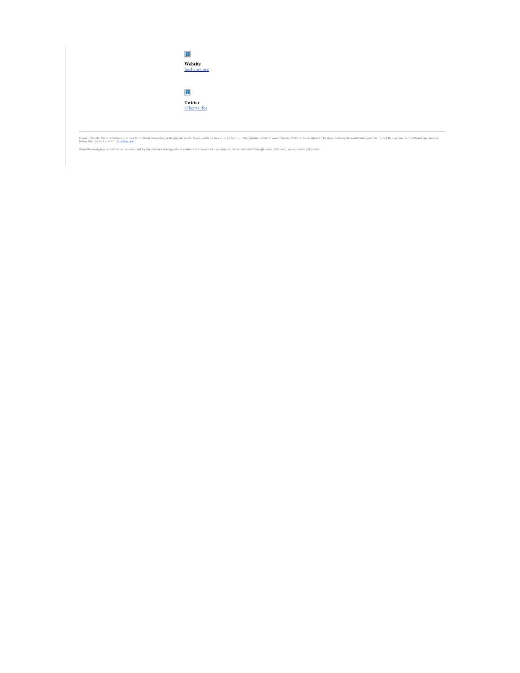

Howard County Public Schools would like to continue connecting with you via email. If you prefer to be removed from our list, please contact Howard County Public Schools directly. To stop receiving all email messages distr

SchoolMessenger is a notification service used by the nation's leading school systems to connect with parents, students and staff through voice, SMS text, email, and social media.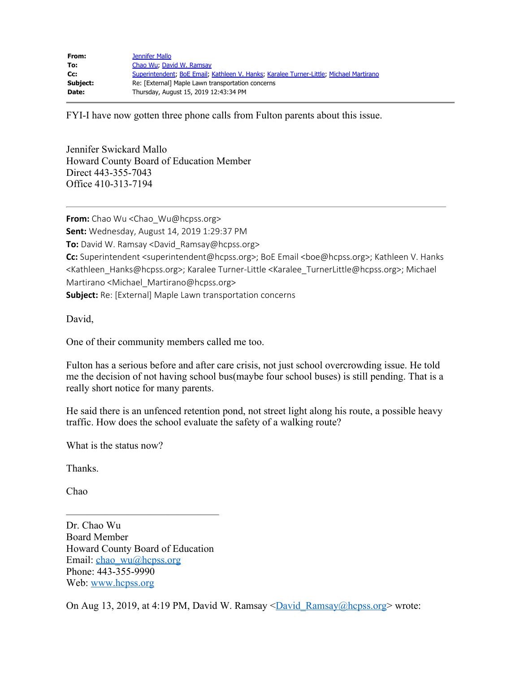| From:    | <b>Jennifer Mallo</b>                                                                  |
|----------|----------------------------------------------------------------------------------------|
| To:      | Chao Wu, David W. Ramsay                                                               |
| Cc:      | Superintendent; BoE Email; Kathleen V. Hanks; Karalee Turner-Little; Michael Martirano |
| Subject: | Re: [External] Maple Lawn transportation concerns                                      |
| Date:    | Thursday, August 15, 2019 12:43:34 PM                                                  |

FYI-I have now gotten three phone calls from Fulton parents about this issue.

Jennifer Swickard Mallo Howard County Board of Education Member Direct 443-355-7043 Office 410-313-7194

**From:** Chao Wu <Chao\_Wu@hcpss.org> **Sent:** Wednesday, August 14, 2019 1:29:37 PM **To:** David W. Ramsay <David Ramsay@hcpss.org> Cc: Superintendent <superintendent@hcpss.org>; BoE Email <boe@hcpss.org>; Kathleen V. Hanks <Kathleen\_Hanks@hcpss.org>; Karalee Turner-Little <Karalee\_TurnerLittle@hcpss.org>; Michael Martirano <Michael\_Martirano@hcpss.org> **Subject:** Re: [External] Maple Lawn transportation concerns

David,

One of their community members called me too.

Fulton has a serious before and after care crisis, not just school overcrowding issue. He told me the decision of not having school bus(maybe four school buses) is still pending. That is a really short notice for many parents.

He said there is an unfenced retention pond, not street light along his route, a possible heavy traffic. How does the school evaluate the safety of a walking route?

What is the status now?

Thanks.

Chao

——————————————— Dr. Chao Wu Board Member Howard County Board of Education Email: [chao\\_wu@hcpss.org](mailto:chao_wu@hcpss.org) Phone: 443-355-9990 Web: [www.hcpss.org](http://www.hcpss.org/)

On Aug 13, 2019, at 4:19 PM, David W. Ramsay  $\sqrt{David Ramsay@hcpss.org}$  wrote: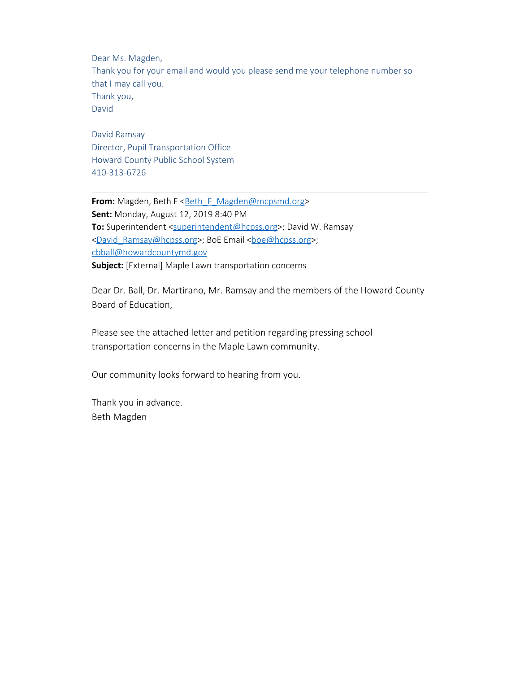Dear Ms. Magden, Thank you for your email and would you please send me your telephone number so that I may call you. Thank you, David

David Ramsay Director, Pupil Transportation Office Howard County Public School System 410-313-6726

**From:** Magden, Beth F < Beth F Magden@mcpsmd.org> **Sent:** Monday, August 12, 2019 8:40 PM **To:** Superintendent [<superintendent@hcpss.org](mailto:superintendent@hcpss.org)>; David W. Ramsay [<David\\_Ramsay@hcpss.org](mailto:David_Ramsay@hcpss.org)>; BoE Email <br/>boe@hcpss.org>; [cbball@howardcountymd.gov](mailto:cbball@howardcountymd.gov) **Subject:** [External] Maple Lawn transportation concerns

Dear Dr. Ball, Dr. Martirano, Mr. Ramsay and the members of the Howard County Board of Education,

Please see the attached letter and petition regarding pressing school transportation concerns in the Maple Lawn community.

Our community looks forward to hearing from you.

Thank you in advance. Beth Magden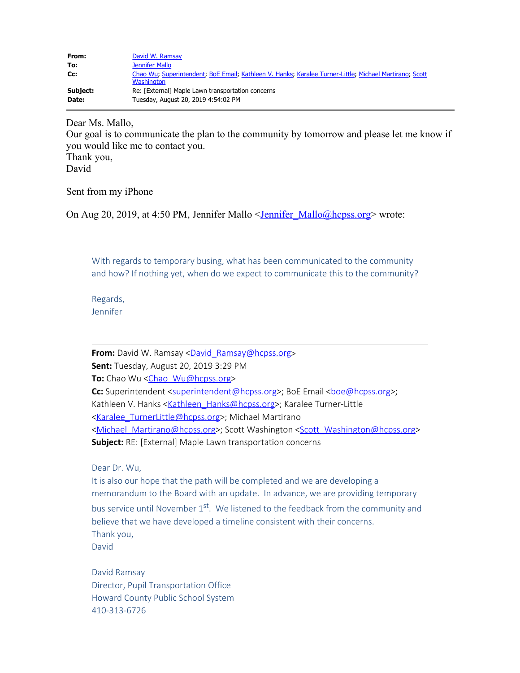| From:    | David W. Ramsay                                                                                                      |
|----------|----------------------------------------------------------------------------------------------------------------------|
| To:      | Jennifer Mallo                                                                                                       |
| Cc:      | Chao Wu; Superintendent; BoE Email; Kathleen V. Hanks; Karalee Turner-Little; Michael Martirano; Scott<br>Washington |
| Subject: | Re: [External] Maple Lawn transportation concerns                                                                    |
| Date:    | Tuesday, August 20, 2019 4:54:02 PM                                                                                  |

Dear Ms. Mallo,

Our goal is to communicate the plan to the community by tomorrow and please let me know if you would like me to contact you.

Thank you, David

Sent from my iPhone

On Aug 20, 2019, at 4:50 PM, Jennifer Mallo <*Jennifer Mallo@hcpss.org*> wrote:

With regards to temporary busing, what has been communicated to the community and how? If nothing yet, when do we expect to communicate this to the community?

Regards, Jennifer

From: David W. Ramsay [<David\\_Ramsay@hcpss.org>](mailto:David_Ramsay@hcpss.org) **Sent:** Tuesday, August 20, 2019 3:29 PM **To:** Chao Wu [<Chao\\_Wu@hcpss.org](mailto:Chao_Wu@hcpss.org)> **Cc:** Superintendent [<superintendent@hcpss.org](mailto:superintendent@hcpss.org)>; BoE Email <br/>sboe@hcpss.org>; Kathleen V. Hanks [<Kathleen\\_Hanks@hcpss.org](mailto:Kathleen_Hanks@hcpss.org)>; Karalee Turner-Little [<Karalee\\_TurnerLittle@hcpss.org](mailto:Karalee_TurnerLittle@hcpss.org)>; Michael Martirano [<Michael\\_Martirano@hcpss.org](mailto:Michael_Martirano@hcpss.org)>; Scott Washington [<Scott\\_Washington@hcpss.org](mailto:Scott_Washington@hcpss.org)> **Subject:** RE: [External] Maple Lawn transportation concerns

Dear Dr. Wu,

It is also our hope that the path will be completed and we are developing a memorandum to the Board with an update. In advance, we are providing temporary bus service until November  $1<sup>st</sup>$ . We listened to the feedback from the community and believe that we have developed a timeline consistent with their concerns. Thank you, David

David Ramsay Director, Pupil Transportation Office Howard County Public School System 410-313-6726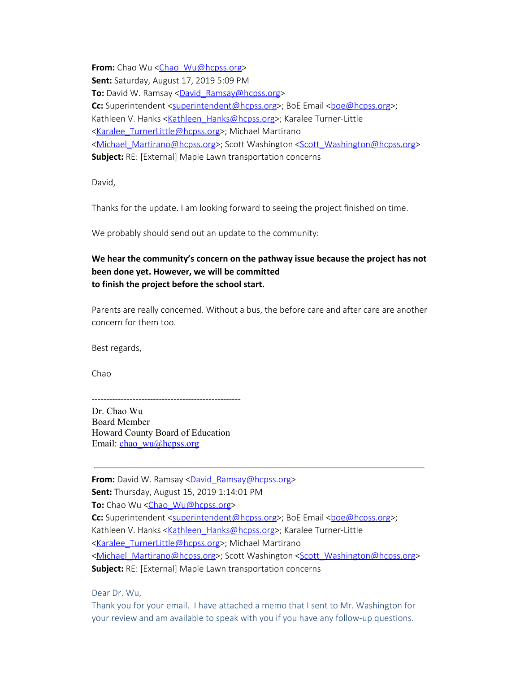**From:** Chao Wu <Chao Wu@hcpss.org> **Sent:** Saturday, August 17, 2019 5:09 PM **To:** David W. Ramsay <**David\_Ramsay@hcpss.org> Cc:** Superintendent [<superintendent@hcpss.org](mailto:superintendent@hcpss.org)>; BoE Email <br/>boe@hcpss.org>; Kathleen V. Hanks [<Kathleen\\_Hanks@hcpss.org](mailto:Kathleen_Hanks@hcpss.org)>; Karalee Turner-Little [<Karalee\\_TurnerLittle@hcpss.org](mailto:Karalee_TurnerLittle@hcpss.org)>; Michael Martirano [<Michael\\_Martirano@hcpss.org](mailto:Michael_Martirano@hcpss.org)>; Scott Washington [<Scott\\_Washington@hcpss.org](mailto:Scott_Washington@hcpss.org)> **Subject:** RE: [External] Maple Lawn transportation concerns

David,

Thanks for the update. I am looking forward to seeing the project finished on time.

We probably should send out an update to the community:

## **We hear the community's concern on the pathway issue because the project has not been done yet. However, we will be committed to finish the project before the school start.**

Parents are really concerned. Without a bus, the before care and after care are another concern for them too.

Best regards,

Chao

--------------------------------------------------- Dr. Chao Wu Board Member Howard County Board of Education Email: [chao\\_wu@hcpss.org](mailto:chao_wu@hcpss.org)

**From:** David W. Ramsay [<David\\_Ramsay@hcpss.org>](mailto:David_Ramsay@hcpss.org) **Sent:** Thursday, August 15, 2019 1:14:01 PM **To:** Chao Wu [<Chao\\_Wu@hcpss.org](mailto:Chao_Wu@hcpss.org)> **Cc:** Superintendent [<superintendent@hcpss.org](mailto:superintendent@hcpss.org)>; BoE Email <br/>boe@hcpss.org>; Kathleen V. Hanks [<Kathleen\\_Hanks@hcpss.org](mailto:Kathleen_Hanks@hcpss.org)>; Karalee Turner-Little [<Karalee\\_TurnerLittle@hcpss.org](mailto:Karalee_TurnerLittle@hcpss.org)>; Michael Martirano [<Michael\\_Martirano@hcpss.org](mailto:Michael_Martirano@hcpss.org)>; Scott Washington [<Scott\\_Washington@hcpss.org](mailto:Scott_Washington@hcpss.org)> **Subject:** RE: [External] Maple Lawn transportation concerns

Dear Dr. Wu,

Thank you for your email. I have attached a memo that I sent to Mr. Washington for your review and am available to speak with you if you have any follow-up questions.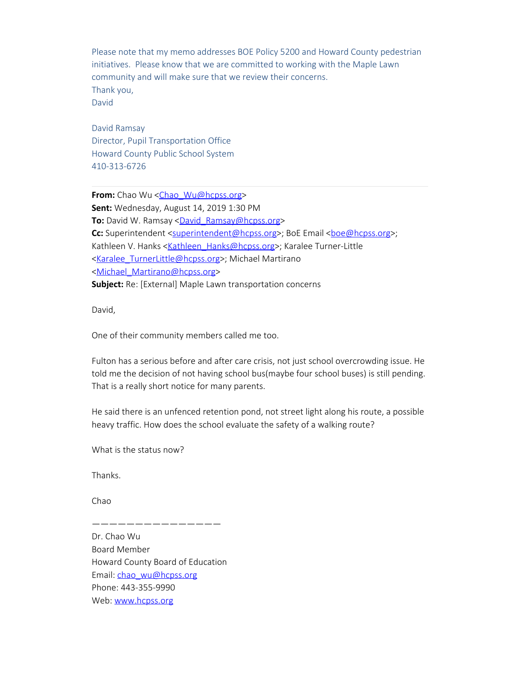Please note that my memo addresses BOE Policy 5200 and Howard County pedestrian initiatives. Please know that we are committed to working with the Maple Lawn community and will make sure that we review their concerns. Thank you, David

David Ramsay Director, Pupil Transportation Office Howard County Public School System 410-313-6726

**From:** Chao Wu <Chao Wu@hcpss.org> **Sent:** Wednesday, August 14, 2019 1:30 PM **To:** David W. Ramsay [<David\\_Ramsay@hcpss.org](mailto:David_Ramsay@hcpss.org)> **Cc:** Superintendent [<superintendent@hcpss.org](mailto:superintendent@hcpss.org)>; BoE Email <br/>sboe@hcpss.org>; Kathleen V. Hanks [<Kathleen\\_Hanks@hcpss.org](mailto:Kathleen_Hanks@hcpss.org)>; Karalee Turner-Little [<Karalee\\_TurnerLittle@hcpss.org](mailto:Karalee_TurnerLittle@hcpss.org)>; Michael Martirano [<Michael\\_Martirano@hcpss.org](mailto:Michael_Martirano@hcpss.org)> **Subject:** Re: [External] Maple Lawn transportation concerns

David,

One of their community members called me too.

Fulton has a serious before and after care crisis, not just school overcrowding issue. He told me the decision of not having school bus(maybe four school buses) is still pending. That is a really short notice for many parents.

He said there is an unfenced retention pond, not street light along his route, a possible heavy traffic. How does the school evaluate the safety of a walking route?

What is the status now?

Thanks.

Chao

Dr. Chao Wu Board Member Howard County Board of Education Email: [chao\\_wu@hcpss.org](mailto:chao_wu@hcpss.org) Phone: 443-355-9990 Web: [www.hcpss.org](http://www.hcpss.org/)

———————————————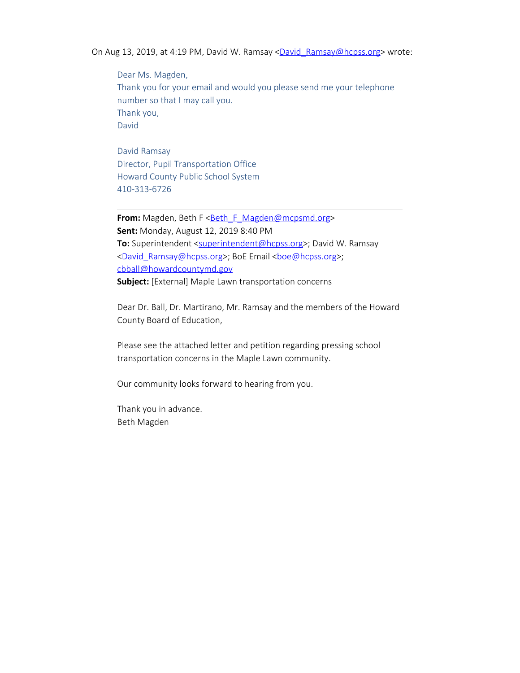On Aug 13, 2019, at 4:19 PM, David W. Ramsay [<David\\_Ramsay@hcpss.org](mailto:David_Ramsay@hcpss.org)> wrote:

Dear Ms. Magden, Thank you for your email and would you please send me your telephone number so that I may call you. Thank you, David

David Ramsay Director, Pupil Transportation Office Howard County Public School System 410-313-6726

**From:** Magden, Beth F <**[Beth\\_F\\_Magden@mcpsmd.org>](mailto:Beth_F_Magden@mcpsmd.org) Sent:** Monday, August 12, 2019 8:40 PM **To:** Superintendent [<superintendent@hcpss.org](mailto:superintendent@hcpss.org)>; David W. Ramsay [<David\\_Ramsay@hcpss.org](mailto:David_Ramsay@hcpss.org)>; BoE Email <br/>boe@hcpss.org>; [cbball@howardcountymd.gov](mailto:cbball@howardcountymd.gov) **Subject:** [External] Maple Lawn transportation concerns

Dear Dr. Ball, Dr. Martirano, Mr. Ramsay and the members of the Howard County Board of Education,

Please see the attached letter and petition regarding pressing school transportation concerns in the Maple Lawn community.

Our community looks forward to hearing from you.

Thank you in advance. Beth Magden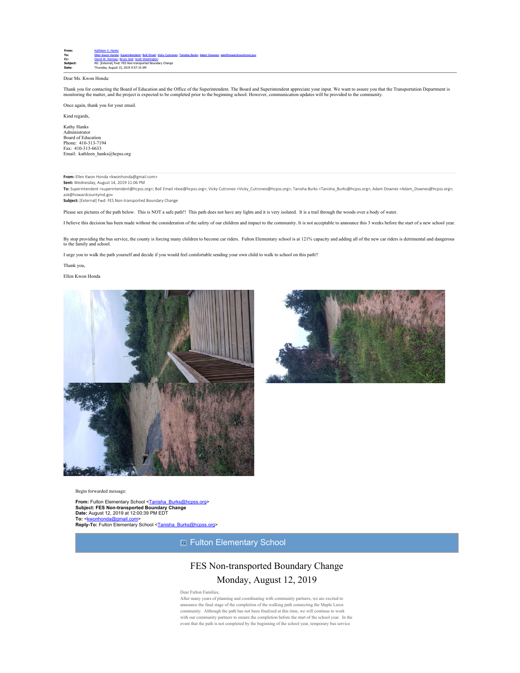

### Dear Ms. Kwon Honda:

Thank you for contacting the Board of Education and the Office of the Superintendent. The Board and Superintendent appreciate your input. We want to assure you that the Transportation Department is<br>monitoring the matter, a

Once again, thank you for your email.

Kind regards,

Kathy Hanks Administrator Board of Education Phone: 410-313-7194 Fax: 410-313-6633 Email: kathleen\_hanks@hcpss.org

### **From:** Ellen Kwon Honda <kwonhonda@gmail.com>

**Sent:** Wednesday, August 14, 2019 11:06 PM

**To:** Superintendent <superintendent@hcpss.org>; BoE Email <boe@hcpss.org>; Vicky Cutroneo <Vicky\_Cutroneo@hcpss.org>; Tanisha Burks <Tanisha\_Burks@hcpss.org>; Adam Downes <Adam\_Downes@hcpss.org>; ask@howardcountymd.gov

**Subject:** [External] Fwd: FES Non-transported Boundary Change

Please see pictures of the path below. This is NOT a safe path!! This path does not have any lights and it is very isolated. It is a trail through the woods over a body of water.

I believe this decision has been made without the consideration of the safety of our children and impact to the community. It is not acceptable to announce this 3 weeks before the start of a new school year.

By stop providing the bus service, the county is forcing many children to become car riders. Fulton Elementary school is at 121% capacity and adding all of the new car riders is detrimental and dangerous<br>to the family and

I urge you to walk the path yourself and decide if you would feel comfortable sending your own child to walk to school on this path!!

Thank you,

Ellen Kwon Honda





Begin forwarded message:

**From:** Fulton Elementary School [<Tanisha\\_Burks@hcpss.org](mailto:Tanisha_Burks@hcpss.org)> **Subject: FES Non-transported Boundary Change Date:** August 12, 2019 at 12:00:39 PM EDT<br>To: <kwonhonda@gmail.com> To: <<u>kwonhonda@gmail.com</u>><br>**Reply-To:** Fulton Elementary School <<u>Tanisha\_Burks@hcpss.or</u>g>

**E** Fulton Elementary School

# FES Non-transported Boundary Change Monday, August 12, 2019

Dear Fulton Famil

After many years of planning and coordinating with community partners, we are excited to announce the final stage of the completion of the walking path connecting the Maple Lawn community. Although the path has not been finalized at this time, we will continue to work with our community partners to ensure the completion before the start of the school year. In the event that the path is not completed by the beginning of the school year, temporary bus service